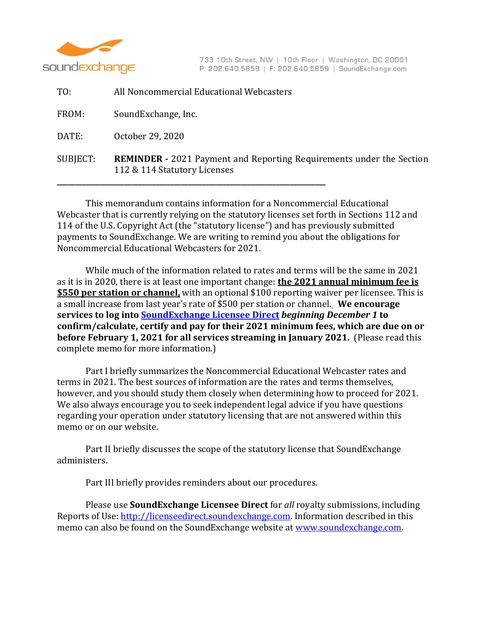

733 10th Street, NW | 10th Floor | Washington, DC 20001 P: 202.640.5858 | F: 202.640.5859 | SoundExchange.com

| TO:      | All Noncommercial Educational Webcasters                                                                    |
|----------|-------------------------------------------------------------------------------------------------------------|
| FROM:    | SoundExchange, Inc.                                                                                         |
| DATE:    | October 29, 2020                                                                                            |
| SUBJECT: | <b>REMINDER</b> - 2021 Payment and Reporting Requirements under the Section<br>112 & 114 Statutory Licenses |

This memorandum contains information for a Noncommercial Educational Webcaster that is currently relying on the statutory licenses set forth in Sections 112 and 114 of the U.S. Copyright Act (the "statutory license") and has previously submitted payments to SoundExchange. We are writing to remind you about the obligations for Noncommercial Educational Webcasters for 2021.

While much of the information related to rates and terms will be the same in 2021 as it is in 2020, there is at least one important change: **the 2021 annual minimum fee is \$550 per station or channel**, with an optional \$100 reporting waiver per licensee. This is a small increase from last year's rate of \$500 per station or channel. We encourage **services to log into SoundExchange Licensee Direct** *beginning December 1* **to confirm/calculate, certify and pay for their 2021 minimum fees, which are due on or before February 1, 2021 for all services streaming in January 2021.** (Please read this complete memo for more information.)

Part I briefly summarizes the Noncommercial Educational Webcaster rates and terms in 2021. The best sources of information are the rates and terms themselves, however, and you should study them closely when determining how to proceed for 2021. We also always encourage you to seek independent legal advice if you have questions regarding your operation under statutory licensing that are not answered within this memo or on our website.

Part II briefly discusses the scope of the statutory license that SoundExchange administers. 

Part III briefly provides reminders about our procedures.

Please use **SoundExchange Licensee Direct** for all royalty submissions, including Reports of Use: http://licenseedirect.soundexchange.com. Information described in this memo can also be found on the SoundExchange website at www.soundexchange.com.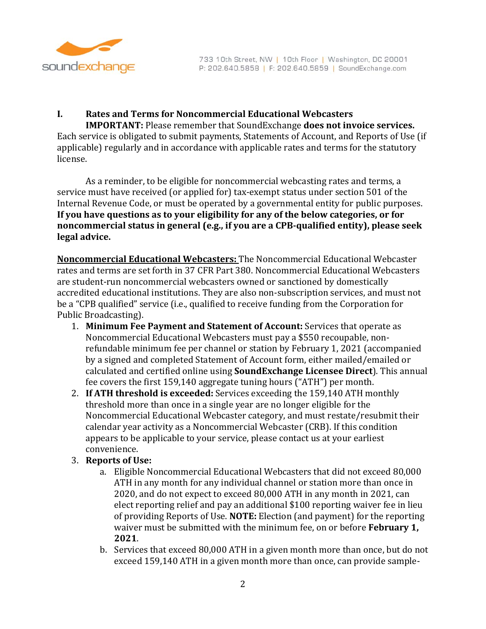

## **I. Rates and Terms for Noncommercial Educational Webcasters**

**IMPORTANT:** Please remember that SoundExchange **does not invoice services.** Each service is obligated to submit payments, Statements of Account, and Reports of Use (if applicable) regularly and in accordance with applicable rates and terms for the statutory license.

As a reminder, to be eligible for noncommercial webcasting rates and terms, a service must have received (or applied for) tax-exempt status under section 501 of the Internal Revenue Code, or must be operated by a governmental entity for public purposes. **If you have questions as to your eligibility for any of the below categories, or for noncommercial status in general (e.g., if you are a CPB‐qualified entity), please seek legal advice.**

**Noncommercial Educational Webcasters:** The Noncommercial Educational Webcaster rates and terms are set forth in 37 CFR Part 380. Noncommercial Educational Webcasters are student-run noncommercial webcasters owned or sanctioned by domestically accredited educational institutions. They are also non-subscription services, and must not be a "CPB qualified" service (i.e., qualified to receive funding from the Corporation for Public Broadcasting).

- 1. **Minimum Fee Payment and Statement of Account:** Services that operate as Noncommercial Educational Webcasters must pay a \$550 recoupable, nonrefundable minimum fee per channel or station by February 1, 2021 (accompanied by a signed and completed Statement of Account form, either mailed/emailed or calculated and certified online using **SoundExchange Licensee Direct**). This annual fee covers the first 159,140 aggregate tuning hours ("ATH") per month.
- 2. If ATH threshold is exceeded: Services exceeding the 159,140 ATH monthly threshold more than once in a single year are no longer eligible for the Noncommercial Educational Webcaster category, and must restate/resubmit their calendar year activity as a Noncommercial Webcaster (CRB). If this condition appears to be applicable to your service, please contact us at your earliest convenience.
- 3. **Reports of Use:**
	- a. Eligible Noncommercial Educational Webcasters that did not exceed 80,000 ATH in any month for any individual channel or station more than once in 2020, and do not expect to exceed 80,000 ATH in any month in 2021, can elect reporting relief and pay an additional \$100 reporting waiver fee in lieu of providing Reports of Use. **NOTE:** Election (and payment) for the reporting waiver must be submitted with the minimum fee, on or before **February 1**, **2021**.
	- b. Services that exceed 80,000 ATH in a given month more than once, but do not exceed 159,140 ATH in a given month more than once, can provide sample-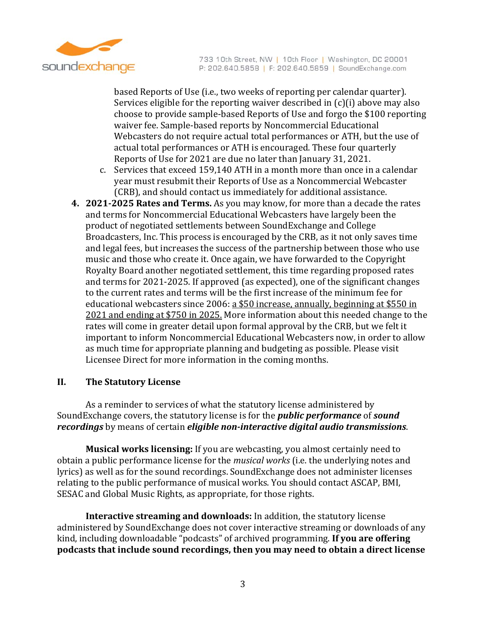

based Reports of Use (i.e., two weeks of reporting per calendar quarter). Services eligible for the reporting waiver described in  $(c)(i)$  above may also choose to provide sample-based Reports of Use and forgo the \$100 reporting waiver fee. Sample-based reports by Noncommercial Educational Webcasters do not require actual total performances or ATH, but the use of actual total performances or ATH is encouraged. These four quarterly Reports of Use for 2021 are due no later than January 31, 2021.

- c. Services that exceed 159,140 ATH in a month more than once in a calendar year must resubmit their Reports of Use as a Noncommercial Webcaster (CRB), and should contact us immediately for additional assistance.
- **4. 2021‐2025 Rates and Terms.** As you may know, for more than a decade the rates and terms for Noncommercial Educational Webcasters have largely been the product of negotiated settlements between SoundExchange and College Broadcasters, Inc. This process is encouraged by the CRB, as it not only saves time and legal fees, but increases the success of the partnership between those who use music and those who create it. Once again, we have forwarded to the Copyright Royalty Board another negotiated settlement, this time regarding proposed rates and terms for 2021-2025. If approved (as expected), one of the significant changes to the current rates and terms will be the first increase of the minimum fee for educational webcasters since 2006:  $a$  \$50 increase, annually, beginning at \$550 in 2021 and ending at \$750 in 2025. More information about this needed change to the rates will come in greater detail upon formal approval by the CRB, but we felt it important to inform Noncommercial Educational Webcasters now, in order to allow as much time for appropriate planning and budgeting as possible. Please visit Licensee Direct for more information in the coming months.

## **II. The Statutory License**

As a reminder to services of what the statutory license administered by SoundExchange covers, the statutory license is for the *public performance* of *sound recordings* by means of certain *eligible non‐interactive digital audio transmissions*. 

**Musical works licensing:** If you are webcasting, you almost certainly need to obtain a public performance license for the *musical works* (i.e. the underlying notes and lyrics) as well as for the sound recordings. SoundExchange does not administer licenses relating to the public performance of musical works. You should contact ASCAP, BMI, SESAC and Global Music Rights, as appropriate, for those rights.

**Interactive streaming and downloads:** In addition, the statutory license administered by SoundExchange does not cover interactive streaming or downloads of any kind, including downloadable "podcasts" of archived programming. If you are offering **podcasts that include sound recordings, then you may need to obtain a direct license**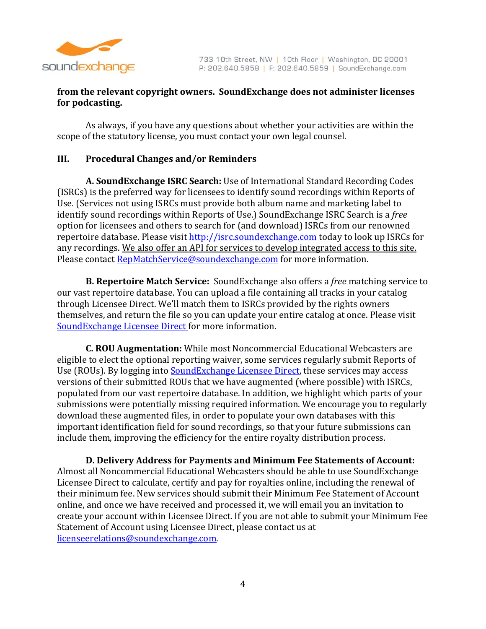

## **from the relevant copyright owners. SoundExchange does not administer licenses for podcasting.**

As always, if you have any questions about whether your activities are within the scope of the statutory license, you must contact your own legal counsel.

## **III. Procedural Changes and/or Reminders**

**A. SoundExchange ISRC Search:** Use of International Standard Recording Codes (ISRCs) is the preferred way for licensees to identify sound recordings within Reports of Use. (Services not using ISRCs must provide both album name and marketing label to identify sound recordings within Reports of Use.) SoundExchange ISRC Search is a *free* option for licensees and others to search for (and download) ISRCs from our renowned repertoire database. Please visit http://isrc.soundexchange.com today to look up ISRCs for any recordings. We also offer an API for services to develop integrated access to this site. Please contact RepMatchService@soundexchange.com for more information.

**B. Repertoire Match Service:** SoundExchange also offers a *free* matching service to our vast repertoire database. You can upload a file containing all tracks in your catalog through Licensee Direct. We'll match them to ISRCs provided by the rights owners themselves, and return the file so you can update your entire catalog at once. Please visit SoundExchange Licensee Direct for more information.

**C. ROU Augmentation:** While most Noncommercial Educational Webcasters are eligible to elect the optional reporting waiver, some services regularly submit Reports of Use (ROUs). By logging into **SoundExchange Licensee Direct**, these services may access versions of their submitted ROUs that we have augmented (where possible) with ISRCs, populated from our vast repertoire database. In addition, we highlight which parts of your submissions were potentially missing required information. We encourage you to regularly download these augmented files, in order to populate your own databases with this important identification field for sound recordings, so that your future submissions can include them, improving the efficiency for the entire royalty distribution process.

**D. Delivery Address for Payments and Minimum Fee Statements of Account:** Almost all Noncommercial Educational Webcasters should be able to use SoundExchange Licensee Direct to calculate, certify and pay for royalties online, including the renewal of their minimum fee. New services should submit their Minimum Fee Statement of Account online, and once we have received and processed it, we will email you an invitation to create your account within Licensee Direct. If you are not able to submit your Minimum Fee Statement of Account using Licensee Direct, please contact us at licenseerelations@soundexchange.com.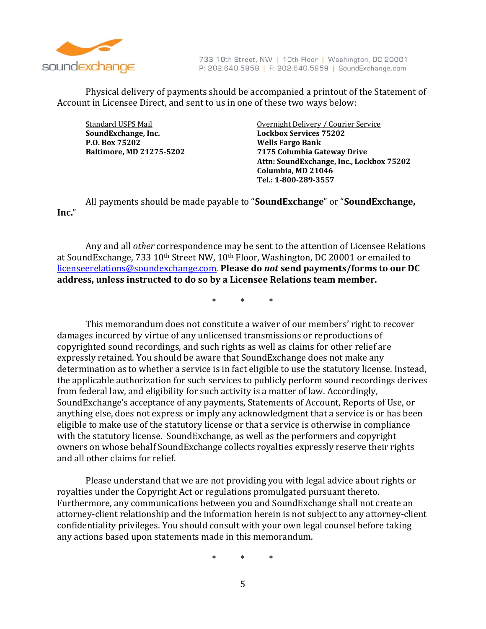

733 10th Street, NW | 10th Floor | Washington, DC 20001 P: 202.640.5858 | F: 202.640.5859 | SoundExchange.com

Physical delivery of payments should be accompanied a printout of the Statement of Account in Licensee Direct, and sent to us in one of these two ways below:

**SoundExchange, Inc. Lockbox Services 75202 P.O. Box 75202 Wells Fargo Bank**

Standard USPS Mail **Subsetter Contains the Courier Courier** Service of Standard USPS Mail **Baltimore, MD 21275‐5202 7175 Columbia Gateway Drive Attn: SoundExchange, Inc., Lockbox 75202 Columbia, MD 21046 Tel.: 1‐800‐289‐3557**

All payments should be made payable to "SoundExchange" or "SoundExchange, **Inc.**" 

Any and all *other* correspondence may be sent to the attention of Licensee Relations at SoundExchange,  $733$   $10$ <sup>th</sup> Street NW,  $10$ <sup>th</sup> Floor, Washington, DC 20001 or emailed to licenseerelations@soundexchange.com. **Please do** *not* **send payments/forms to our DC address, unless instructed to do so by a Licensee Relations team member.**

\* \* \* 

This memorandum does not constitute a waiver of our members' right to recover damages incurred by virtue of any unlicensed transmissions or reproductions of copyrighted sound recordings, and such rights as well as claims for other relief are expressly retained. You should be aware that SoundExchange does not make any determination as to whether a service is in fact eligible to use the statutory license. Instead, the applicable authorization for such services to publicly perform sound recordings derives from federal law, and eligibility for such activity is a matter of law. Accordingly, SoundExchange's acceptance of any payments, Statements of Account, Reports of Use, or anything else, does not express or imply any acknowledgment that a service is or has been eligible to make use of the statutory license or that a service is otherwise in compliance with the statutory license. SoundExchange, as well as the performers and copyright owners on whose behalf SoundExchange collects royalties expressly reserve their rights and all other claims for relief.

Please understand that we are not providing you with legal advice about rights or royalties under the Copyright Act or regulations promulgated pursuant thereto. Furthermore, any communications between you and SoundExchange shall not create an attorney-client relationship and the information herein is not subject to any attorney-client confidentiality privileges. You should consult with your own legal counsel before taking any actions based upon statements made in this memorandum.

\* \* \*